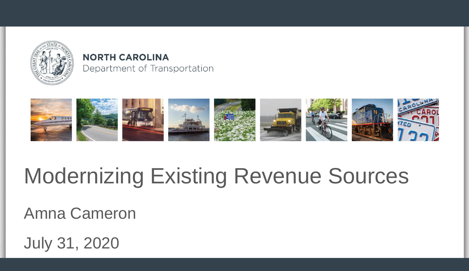

#### **NORTH CAROLINA** Department of Transportation



# Modernizing Existing Revenue Sources

Amna Cameron

July 31, 2020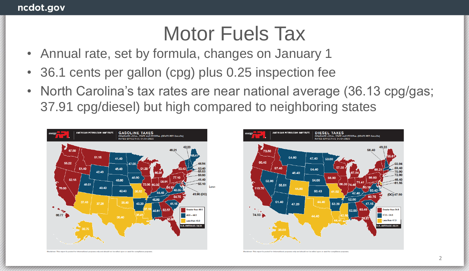- Annual rate, set by formula, changes on January 1
- 36.1 cents per gallon (cpg) plus 0.25 inspection fee
- North Carolina's tax rates are near national average (36.13 cpg/gas; 37.91 cpg/diesel) but high compared to neighboring states





This report is posted for informational purposes only and should not be relied upon or used fo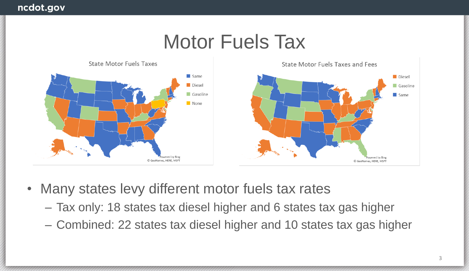

- Many states levy different motor fuels tax rates
	- Tax only: 18 states tax diesel higher and 6 states tax gas higher
	- Combined: 22 states tax diesel higher and 10 states tax gas higher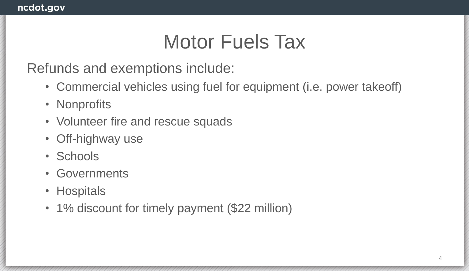Refunds and exemptions include:

- Commercial vehicles using fuel for equipment (i.e. power takeoff)
- Nonprofits
- Volunteer fire and rescue squads
- Off-highway use
- Schools
- Governments
- Hospitals
- 1% discount for timely payment (\$22 million)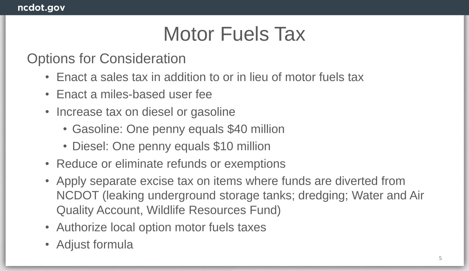#### Options for Consideration

- Enact a sales tax in addition to or in lieu of motor fuels tax
- Enact a miles-based user fee
- Increase tax on diesel or gasoline
	- Gasoline: One penny equals \$40 million
	- Diesel: One penny equals \$10 million
- Reduce or eliminate refunds or exemptions
- Apply separate excise tax on items where funds are diverted from NCDOT (leaking underground storage tanks; dredging; Water and Air Quality Account, Wildlife Resources Fund)
- Authorize local option motor fuels taxes
- Adjust formula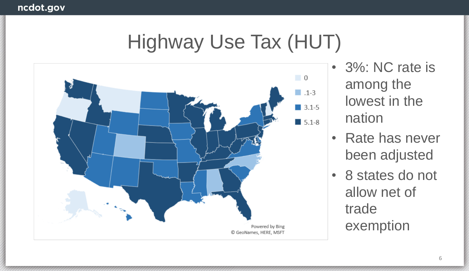# Highway Use Tax (HUT)



- 3%: NC rate is among the lowest in the nation
- Rate has never been adjusted
- 8 states do not allow net of trade exemption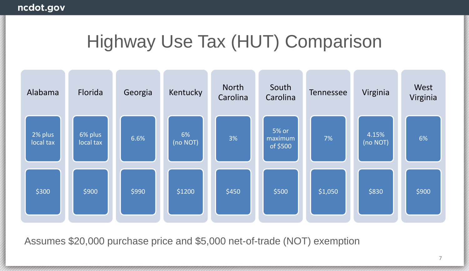### Highway Use Tax (HUT) Comparison



Assumes \$20,000 purchase price and \$5,000 net-of-trade (NOT) exemption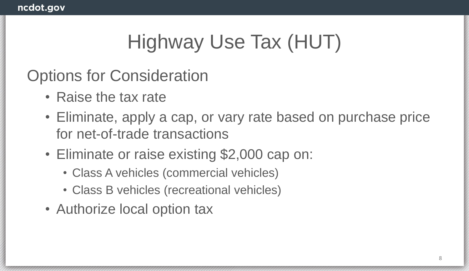# Highway Use Tax (HUT)

#### Options for Consideration

- Raise the tax rate
- Eliminate, apply a cap, or vary rate based on purchase price for net-of-trade transactions
- Eliminate or raise existing \$2,000 cap on:
	- Class A vehicles (commercial vehicles)
	- Class B vehicles (recreational vehicles)
- Authorize local option tax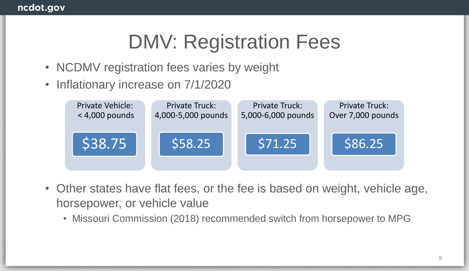# DMV: Registration Fees

- NCDMV registration fees varies by weight
- Inflationary increase on 7/1/2020



- Other states have flat fees, or the fee is based on weight, vehicle age, horsepower, or vehicle value
	- Missouri Commission (2018) recommended switch from horsepower to MPG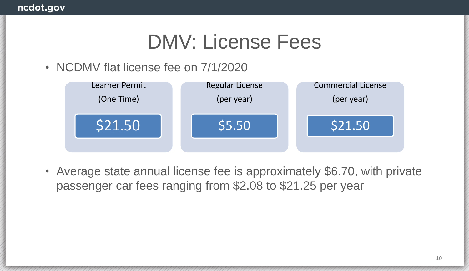# DMV: License Fees

• NCDMV flat license fee on 7/1/2020



• Average state annual license fee is approximately \$6.70, with private passenger car fees ranging from \$2.08 to \$21.25 per year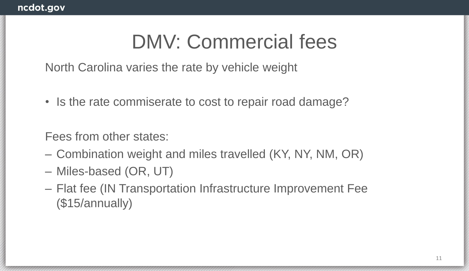# DMV: Commercial fees

North Carolina varies the rate by vehicle weight

• Is the rate commiserate to cost to repair road damage?

Fees from other states:

- Combination weight and miles travelled (KY, NY, NM, OR)
- Miles-based (OR, UT)
- Flat fee (IN Transportation Infrastructure Improvement Fee (\$15/annually)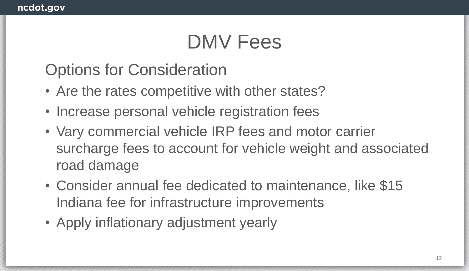# DMV Fees

Options for Consideration

- Are the rates competitive with other states?
- Increase personal vehicle registration fees
- Vary commercial vehicle IRP fees and motor carrier surcharge fees to account for vehicle weight and associated road damage
- Consider annual fee dedicated to maintenance, like \$15 Indiana fee for infrastructure improvements
- Apply inflationary adjustment yearly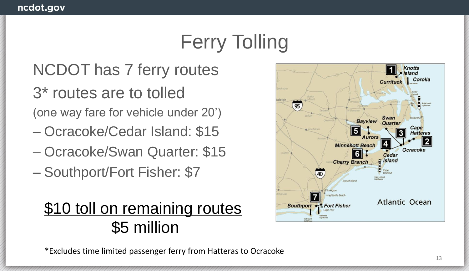# Ferry Tolling

### NCDOT has 7 ferry routes

3\* routes are to tolled

(one way fare for vehicle under 20')

- Ocracoke/Cedar Island: \$15
- Ocracoke/Swan Quarter: \$15
- Southport/Fort Fisher: \$7

#### \$10 toll on remaining routes \$5 million



\*Excludes time limited passenger ferry from Hatteras to Ocracoke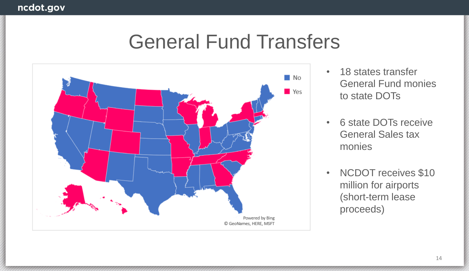

- 18 states transfer General Fund monies to state DOTs
- 6 state DOTs receive General Sales tax monies
- NCDOT receives \$10 million for airports (short-term lease proceeds)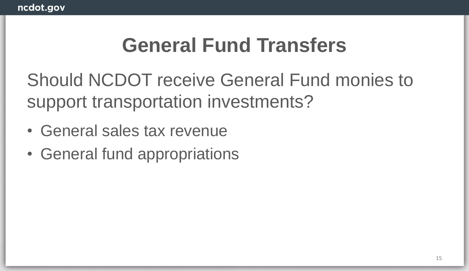Should NCDOT receive General Fund monies to support transportation investments?

- General sales tax revenue
- General fund appropriations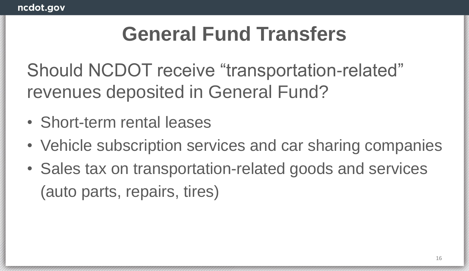Should NCDOT receive "transportation-related" revenues deposited in General Fund?

- Short-term rental leases
- Vehicle subscription services and car sharing companies
- Sales tax on transportation-related goods and services (auto parts, repairs, tires)